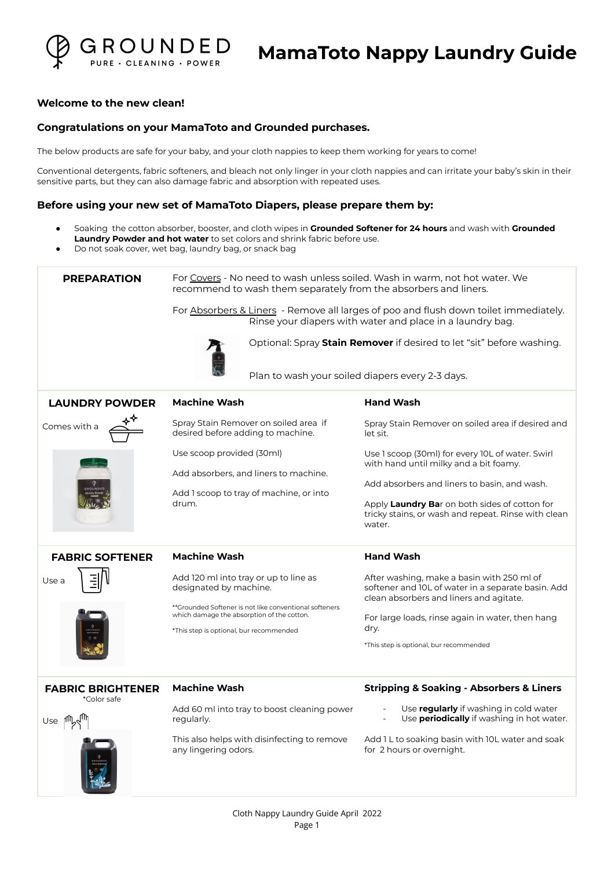

#### **Welcome to the new clean!**

#### **Congratulations on your MamaToto and Grounded purchases.**

The below products are safe for your baby, and your cloth nappies to keep them working for years to come!

Conventional detergents, fabric softeners, and bleach not only linger in your cloth nappies and can irritate your baby's skin in their sensitive parts, but they can also damage fabric and absorption with repeated uses.

#### **Before using your new set of MamaToto Diapers, please prepare them by:**

- Soaking the cotton absorber, booster, and cloth wipes in **Grounded Softener for 24 hours** and wash with **Grounded Laundry Powder and hot water** to set colors and shrink fabric before use.
- Do not soak cover, wet bag, laundry bag, or snack bag

| <b>PREPARATION</b>                      | For Covers - No need to wash unless soiled. Wash in warm, not hot water. We<br>recommend to wash them separately from the absorbers and liners.<br>For Absorbers & Liners - Remove all larges of poo and flush down toilet immediately.<br>Rinse your diapers with water and place in a laundry bag.<br>Optional: Spray Stain Remover if desired to let "sit" before washing.<br>Plan to wash your soiled diapers every 2-3 days. |                                                                                                                                                                                                                                                              |
|-----------------------------------------|-----------------------------------------------------------------------------------------------------------------------------------------------------------------------------------------------------------------------------------------------------------------------------------------------------------------------------------------------------------------------------------------------------------------------------------|--------------------------------------------------------------------------------------------------------------------------------------------------------------------------------------------------------------------------------------------------------------|
| <b>LAUNDRY POWDER</b>                   | <b>Machine Wash</b>                                                                                                                                                                                                                                                                                                                                                                                                               | <b>Hand Wash</b>                                                                                                                                                                                                                                             |
| Comes with a                            | Spray Stain Remover on soiled area if<br>desired before adding to machine.                                                                                                                                                                                                                                                                                                                                                        | Spray Stain Remover on soiled area if desired and<br>let sit.                                                                                                                                                                                                |
|                                         | Use scoop provided (30ml)<br>Add absorbers, and liners to machine.<br>Add I scoop to tray of machine, or into<br>drum.                                                                                                                                                                                                                                                                                                            | Use 1 scoop (30ml) for every 10L of water. Swirl<br>with hand until milky and a bit foamy.<br>Add absorbers and liners to basin, and wash.<br>Apply Laundry Bar on both sides of cotton for<br>tricky stains, or wash and repeat. Rinse with clean<br>water. |
| <b>FABRIC SOFTENER</b>                  | <b>Machine Wash</b>                                                                                                                                                                                                                                                                                                                                                                                                               | <b>Hand Wash</b>                                                                                                                                                                                                                                             |
| Use a                                   | Add 120 ml into tray or up to line as<br>designated by machine.<br>**Grounded Softener is not like conventional softeners<br>which damage the absorption of the cotton.<br>*This step is optional, bur recommended                                                                                                                                                                                                                | After washing, make a basin with 250 ml of<br>softener and 10L of water in a separate basin. Add<br>clean absorbers and liners and agitate.<br>For large loads, rinse again in water, then hang<br>dry.<br>*This step is optional, bur recommended           |
| <b>FABRIC BRIGHTENER</b><br>*Color safe | <b>Machine Wash</b>                                                                                                                                                                                                                                                                                                                                                                                                               | <b>Stripping &amp; Soaking - Absorbers &amp; Liners</b>                                                                                                                                                                                                      |
| ∩ee lwY <sub>diu</sub>                  | Add 60 ml into tray to boost cleaning power<br>regularly.                                                                                                                                                                                                                                                                                                                                                                         | Use <b>regularly</b> if washing in cold water<br>Use <b>periodically</b> if washing in hot water.                                                                                                                                                            |
|                                         | This also helps with disinfecting to remove<br>any lingering odors.                                                                                                                                                                                                                                                                                                                                                               | Add 1 L to soaking basin with 10L water and soak<br>for 2 hours or overnight.                                                                                                                                                                                |